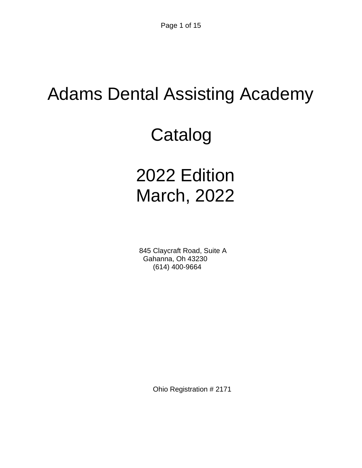# Adams Dental Assisting Academy

# Catalog

# 2022 Edition March, 2022

 845 Claycraft Road, Suite A Gahanna, Oh 43230 (614) 400-9664

Ohio Registration # 2171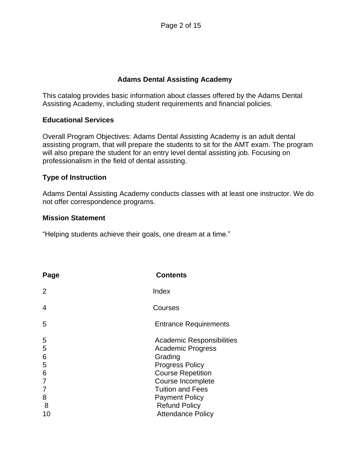#### **Adams Dental Assisting Academy**

This catalog provides basic information about classes offered by the Adams Dental Assisting Academy, including student requirements and financial policies.

#### **Educational Services**

Overall Program Objectives: Adams Dental Assisting Academy is an adult dental assisting program, that will prepare the students to sit for the AMT exam. The program will also prepare the student for an entry level dental assisting job. Focusing on professionalism in the field of dental assisting.

#### **Type of Instruction**

Adams Dental Assisting Academy conducts classes with at least one instructor. We do not offer correspondence programs.

#### **Mission Statement**

"Helping students achieve their goals, one dream at a time."

| Page                                      | <b>Contents</b>                                                                                                                                                                                                         |
|-------------------------------------------|-------------------------------------------------------------------------------------------------------------------------------------------------------------------------------------------------------------------------|
| 2                                         | Index                                                                                                                                                                                                                   |
| 4                                         | Courses                                                                                                                                                                                                                 |
| 5                                         | <b>Entrance Requirements</b>                                                                                                                                                                                            |
| 5<br>5<br>6<br>5<br>6<br>7<br>7<br>8<br>8 | Academic Responsibilities<br><b>Academic Progress</b><br>Grading<br><b>Progress Policy</b><br><b>Course Repetition</b><br>Course Incomplete<br><b>Tuition and Fees</b><br><b>Payment Policy</b><br><b>Refund Policy</b> |
| 10                                        | <b>Attendance Policy</b>                                                                                                                                                                                                |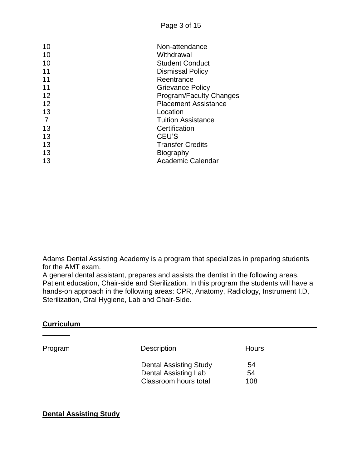| 10 | Non-attendance                 |
|----|--------------------------------|
| 10 | Withdrawal                     |
| 10 | <b>Student Conduct</b>         |
| 11 | Dismissal Policy               |
| 11 | Reentrance                     |
| 11 | <b>Grievance Policy</b>        |
| 12 | <b>Program/Faculty Changes</b> |
| 12 | <b>Placement Assistance</b>    |
| 13 | Location                       |
|    | <b>Tuition Assistance</b>      |
| 13 | Certification                  |
| 13 | CEU'S                          |
| 13 | <b>Transfer Credits</b>        |
| 13 | Biography                      |
| 13 | <b>Academic Calendar</b>       |
|    |                                |

Adams Dental Assisting Academy is a program that specializes in preparing students for the AMT exam.

A general dental assistant, prepares and assists the dentist in the following areas. Patient education, Chair-side and Sterilization. In this program the students will have a hands-on approach in the following areas: CPR, Anatomy, Radiology, Instrument I.D, Sterilization, Oral Hygiene, Lab and Chair-Side.

#### **Curriculum\_\_\_\_\_\_\_\_\_\_\_\_\_\_\_\_\_\_\_\_\_\_\_\_\_\_\_\_\_\_\_\_\_\_\_\_\_\_\_\_\_\_\_\_\_\_\_\_\_\_\_\_\_\_\_\_\_\_\_\_**

**\_\_\_\_\_\_\_**

| Program | <b>Description</b>                                                                    | Hours           |
|---------|---------------------------------------------------------------------------------------|-----------------|
|         | <b>Dental Assisting Study</b><br><b>Dental Assisting Lab</b><br>Classroom hours total | 54<br>54<br>108 |

**Dental Assisting Study**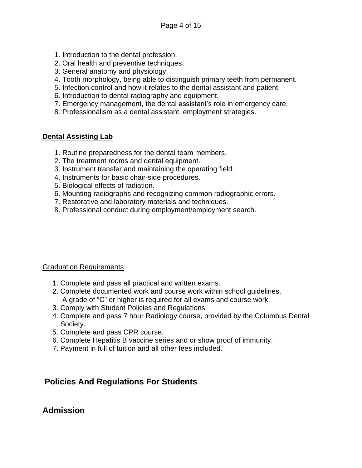- 1. Introduction to the dental profession.
- 2. Oral health and preventive techniques.
- 3. General anatomy and physiology.
- 4. Tooth morphology, being able to distinguish primary teeth from permanent.
- 5. Infection control and how it relates to the dental assistant and patient.
- 6. Introduction to dental radiography and equipment.
- 7. Emergency management, the dental assistant's role in emergency care.
- 8. Professionalism as a dental assistant, employment strategies.

#### **Dental Assisting Lab**

- 1. Routine preparedness for the dental team members.
- 2. The treatment rooms and dental equipment.
- 3. Instrument transfer and maintaining the operating field.
- 4. Instruments for basic chair-side procedures.
- 5. Biological effects of radiation.
- 6. Mounting radiographs and recognizing common radiographic errors.
- 7. Restorative and laboratory materials and techniques.
- 8. Professional conduct during employment/employment search.

#### Graduation Requirements

- 1. Complete and pass all practical and written exams.
- 2. Complete documented work and course work within school guidelines. A grade of "C" or higher is required for all exams and course work.
- 3. Comply with Student Policies and Regulations.
- 4. Complete and pass 7 hour Radiology course, provided by the Columbus Dental Society.
- 5. Complete and pass CPR course.
- 6. Complete Hepatitis B vaccine series and or show proof of immunity.
- 7. Payment in full of tuition and all other fees included.

## **Policies And Regulations For Students**

## **Admission**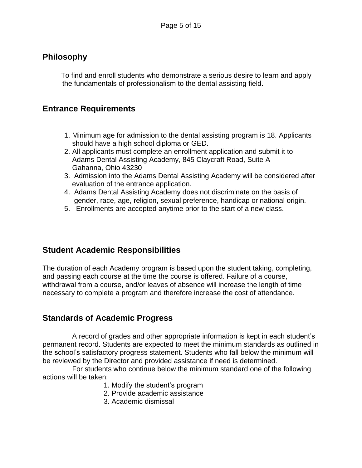## **Philosophy**

To find and enroll students who demonstrate a serious desire to learn and apply the fundamentals of professionalism to the dental assisting field.

## **Entrance Requirements**

- 1. Minimum age for admission to the dental assisting program is 18. Applicants should have a high school diploma or GED.
- 2. All applicants must complete an enrollment application and submit it to Adams Dental Assisting Academy, 845 Claycraft Road, Suite A Gahanna, Ohio 43230
- 3. Admission into the Adams Dental Assisting Academy will be considered after evaluation of the entrance application.
- 4. Adams Dental Assisting Academy does not discriminate on the basis of gender, race, age, religion, sexual preference, handicap or national origin.
- 5. Enrollments are accepted anytime prior to the start of a new class.

## **Student Academic Responsibilities**

The duration of each Academy program is based upon the student taking, completing, and passing each course at the time the course is offered. Failure of a course, withdrawal from a course, and/or leaves of absence will increase the length of time necessary to complete a program and therefore increase the cost of attendance.

## **Standards of Academic Progress**

 A record of grades and other appropriate information is kept in each student's permanent record. Students are expected to meet the minimum standards as outlined in the school's satisfactory progress statement. Students who fall below the minimum will be reviewed by the Director and provided assistance if need is determined.

 For students who continue below the minimum standard one of the following actions will be taken:

- 1. Modify the student's program
- 2. Provide academic assistance
- 3. Academic dismissal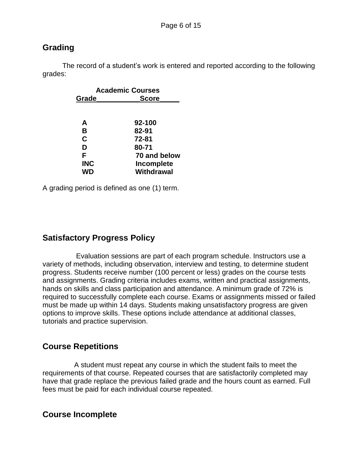## **Grading**

 The record of a student's work is entered and reported according to the following grades:

| <b>Academic Courses</b> |              |  |
|-------------------------|--------------|--|
| Grade                   | <b>Score</b> |  |
|                         |              |  |
|                         |              |  |
| A                       | 92-100       |  |
| B                       | 82-91        |  |
| C                       | 72-81        |  |
| D                       | 80-71        |  |
| F                       | 70 and below |  |
| <b>INC</b>              | Incomplete   |  |
| WD                      | Withdrawal   |  |

A grading period is defined as one (1) term.

## **Satisfactory Progress Policy**

 Evaluation sessions are part of each program schedule. Instructors use a variety of methods, including observation, interview and testing, to determine student progress. Students receive number (100 percent or less) grades on the course tests and assignments. Grading criteria includes exams, written and practical assignments, hands on skills and class participation and attendance. A minimum grade of 72% is required to successfully complete each course. Exams or assignments missed or failed must be made up within 14 days. Students making unsatisfactory progress are given options to improve skills. These options include attendance at additional classes, tutorials and practice supervision.

## **Course Repetitions**

 A student must repeat any course in which the student fails to meet the requirements of that course. Repeated courses that are satisfactorily completed may have that grade replace the previous failed grade and the hours count as earned. Full fees must be paid for each individual course repeated.

## **Course Incomplete**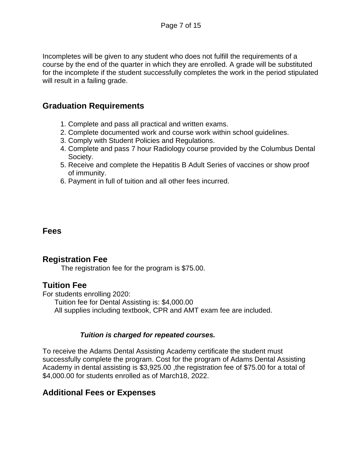Incompletes will be given to any student who does not fulfill the requirements of a course by the end of the quarter in which they are enrolled. A grade will be substituted for the incomplete if the student successfully completes the work in the period stipulated will result in a failing grade.

## **Graduation Requirements**

- 1. Complete and pass all practical and written exams.
- 2. Complete documented work and course work within school guidelines.
- 3. Comply with Student Policies and Regulations.
- 4. Complete and pass 7 hour Radiology course provided by the Columbus Dental Society.
- 5. Receive and complete the Hepatitis B Adult Series of vaccines or show proof of immunity.
- 6. Payment in full of tuition and all other fees incurred.

## **Fees**

## **Registration Fee**

The registration fee for the program is \$75.00.

## **Tuition Fee**

For students enrolling 2020:

 Tuition fee for Dental Assisting is: \$4,000.00 All supplies including textbook, CPR and AMT exam fee are included.

#### *Tuition is charged for repeated courses.*

To receive the Adams Dental Assisting Academy certificate the student must successfully complete the program. Cost for the program of Adams Dental Assisting Academy in dental assisting is \$3,925.00 ,the registration fee of \$75.00 for a total of \$4,000.00 for students enrolled as of March18, 2022.

## **Additional Fees or Expenses**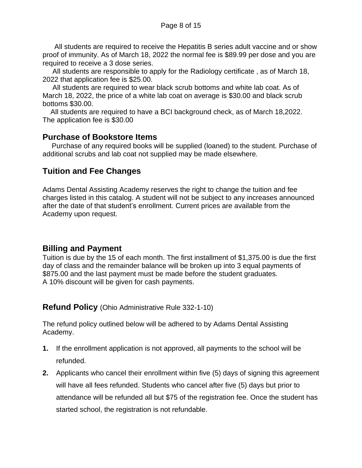All students are required to receive the Hepatitis B series adult vaccine and or show proof of immunity. As of March 18, 2022 the normal fee is \$89.99 per dose and you are required to receive a 3 dose series.

 All students are responsible to apply for the Radiology certificate , as of March 18, 2022 that application fee is \$25.00.

 All students are required to wear black scrub bottoms and white lab coat. As of March 18, 2022, the price of a white lab coat on average is \$30.00 and black scrub bottoms \$30.00.

 All students are required to have a BCI background check, as of March 18,2022. The application fee is \$30.00

## **Purchase of Bookstore Items**

Purchase of any required books will be supplied (loaned) to the student. Purchase of additional scrubs and lab coat not supplied may be made elsewhere.

## **Tuition and Fee Changes**

Adams Dental Assisting Academy reserves the right to change the tuition and fee charges listed in this catalog. A student will not be subject to any increases announced after the date of that student's enrollment. Current prices are available from the Academy upon request.

## **Billing and Payment**

Tuition is due by the 15 of each month. The first installment of \$1,375.00 is due the first day of class and the remainder balance will be broken up into 3 equal payments of \$875.00 and the last payment must be made before the student graduates. A 10% discount will be given for cash payments.

**Refund Policy** (Ohio Administrative Rule 332-1-10)

The refund policy outlined below will be adhered to by Adams Dental Assisting Academy.

- **1.** If the enrollment application is not approved, all payments to the school will be refunded.
- **2.** Applicants who cancel their enrollment within five (5) days of signing this agreement will have all fees refunded. Students who cancel after five (5) days but prior to attendance will be refunded all but \$75 of the registration fee. Once the student has started school, the registration is not refundable.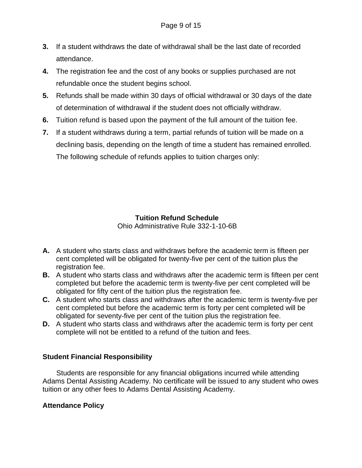- **3.** If a student withdraws the date of withdrawal shall be the last date of recorded attendance.
- **4.** The registration fee and the cost of any books or supplies purchased are not refundable once the student begins school.
- **5.** Refunds shall be made within 30 days of official withdrawal or 30 days of the date of determination of withdrawal if the student does not officially withdraw.
- **6.** Tuition refund is based upon the payment of the full amount of the tuition fee.
- **7.** If a student withdraws during a term, partial refunds of tuition will be made on a declining basis, depending on the length of time a student has remained enrolled. The following schedule of refunds applies to tuition charges only:

## **Tuition Refund Schedule**

Ohio Administrative Rule 332-1-10-6B

- **A.** A student who starts class and withdraws before the academic term is fifteen per cent completed will be obligated for twenty-five per cent of the tuition plus the registration fee.
- **B.** A student who starts class and withdraws after the academic term is fifteen per cent completed but before the academic term is twenty-five per cent completed will be obligated for fifty cent of the tuition plus the registration fee.
- **C.** A student who starts class and withdraws after the academic term is twenty-five per cent completed but before the academic term is forty per cent completed will be obligated for seventy-five per cent of the tuition plus the registration fee.
- **D.** A student who starts class and withdraws after the academic term is forty per cent complete will not be entitled to a refund of the tuition and fees.

## **Student Financial Responsibility**

Students are responsible for any financial obligations incurred while attending Adams Dental Assisting Academy. No certificate will be issued to any student who owes tuition or any other fees to Adams Dental Assisting Academy.

## **Attendance Policy**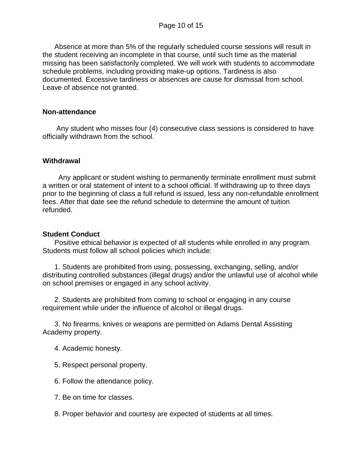Absence at more than 5% of the regularly scheduled course sessions will result in the student receiving an incomplete in that course, until such time as the material missing has been satisfactorily completed. We will work with students to accommodate schedule problems, including providing make-up options. Tardiness is also documented. Excessive tardiness or absences are cause for dismissal from school. Leave of absence not granted.

#### **Non-attendance**

 Any student who misses four (4) consecutive class sessions is considered to have officially withdrawn from the school.

#### **Withdrawal**

Any applicant or student wishing to permanently terminate enrollment must submit a written or oral statement of intent to a school official. If withdrawing up to three days prior to the beginning of class a full refund is issued, less any non-refundable enrollment fees. After that date see the refund schedule to determine the amount of tuition refunded.

#### **Student Conduct**

Positive ethical behavior is expected of all students while enrolled in any program. Students must follow all school policies which include:

 1. Students are prohibited from using, possessing, exchanging, selling, and/or distributing controlled substances (illegal drugs) and/or the unlawful use of alcohol while on school premises or engaged in any school activity.

 2. Students are prohibited from coming to school or engaging in any course requirement while under the influence of alcohol or illegal drugs.

 3. No firearms, knives or weapons are permitted on Adams Dental Assisting Academy property.

- 4. Academic honesty.
- 5. Respect personal property.
- 6. Follow the attendance policy.
- 7. Be on time for classes.
- 8. Proper behavior and courtesy are expected of students at all times.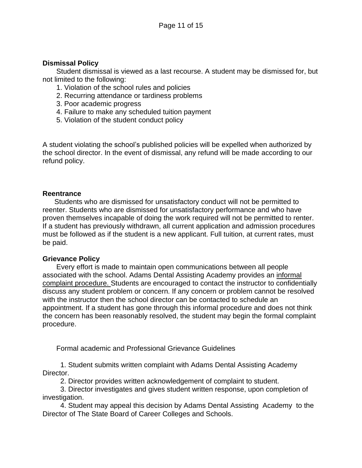#### **Dismissal Policy**

Student dismissal is viewed as a last recourse. A student may be dismissed for, but not limited to the following:

- 1. Violation of the school rules and policies
- 2. Recurring attendance or tardiness problems
- 3. Poor academic progress
- 4. Failure to make any scheduled tuition payment
- 5. Violation of the student conduct policy

A student violating the school's published policies will be expelled when authorized by the school director. In the event of dismissal, any refund will be made according to our refund policy.

#### **Reentrance**

Students who are dismissed for unsatisfactory conduct will not be permitted to reenter. Students who are dismissed for unsatisfactory performance and who have proven themselves incapable of doing the work required will not be permitted to renter. If a student has previously withdrawn, all current application and admission procedures must be followed as if the student is a new applicant. Full tuition, at current rates, must be paid.

#### **Grievance Policy**

Every effort is made to maintain open communications between all people associated with the school. Adams Dental Assisting Academy provides an informal complaint procedure. Students are encouraged to contact the instructor to confidentially discuss any student problem or concern. If any concern or problem cannot be resolved with the instructor then the school director can be contacted to schedule an appointment. If a student has gone through this informal procedure and does not think the concern has been reasonably resolved, the student may begin the formal complaint procedure.

Formal academic and Professional Grievance Guidelines

 1. Student submits written complaint with Adams Dental Assisting Academy Director.

2. Director provides written acknowledgement of complaint to student.

 3. Director investigates and gives student written response, upon completion of investigation.

 4. Student may appeal this decision by Adams Dental Assisting Academyto the Director of The State Board of Career Colleges and Schools.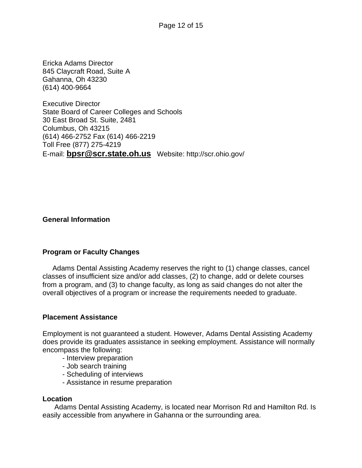Ericka Adams Director 845 Claycraft Road, Suite A Gahanna, Oh 43230 (614) 400-9664

Executive Director State Board of Career Colleges and Schools 30 East Broad St. Suite, 2481 Columbus, Oh 43215 (614) 466-2752 Fax (614) 466-2219 Toll Free (877) 275-4219 E-mail: **[bpsr@scr.state.oh.us](mailto:bpsr@scr.state.oh.us)** Website: http://scr.ohio.gov/

#### **General Information**

#### **Program or Faculty Changes**

Adams Dental Assisting Academy reserves the right to (1) change classes, cancel classes of insufficient size and/or add classes, (2) to change, add or delete courses from a program, and (3) to change faculty, as long as said changes do not alter the overall objectives of a program or increase the requirements needed to graduate.

#### **Placement Assistance**

Employment is not guaranteed a student. However, Adams Dental Assisting Academy does provide its graduates assistance in seeking employment. Assistance will normally encompass the following:

- Interview preparation
- Job search training
- Scheduling of interviews
- Assistance in resume preparation

#### **Location**

Adams Dental Assisting Academy, is located near Morrison Rd and Hamilton Rd. Is easily accessible from anywhere in Gahanna or the surrounding area.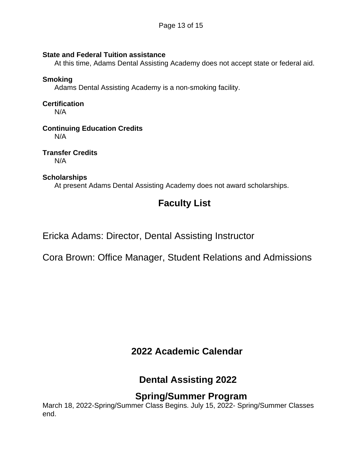#### **State and Federal Tuition assistance**

At this time, Adams Dental Assisting Academy does not accept state or federal aid.

#### **Smoking**

Adams Dental Assisting Academy is a non-smoking facility.

## **Certification**

 $N/A$ 

## **Continuing Education Credits**

N/A

**Transfer Credits** N/A

#### **Scholarships**

At present Adams Dental Assisting Academy does not award scholarships.

# **Faculty List**

Ericka Adams: Director, Dental Assisting Instructor

Cora Brown: Office Manager, Student Relations and Admissions

# **2022 Academic Calendar**

# **Dental Assisting 2022**

## **Spring/Summer Program**

March 18, 2022-Spring/Summer Class Begins. July 15, 2022- Spring/Summer Classes end.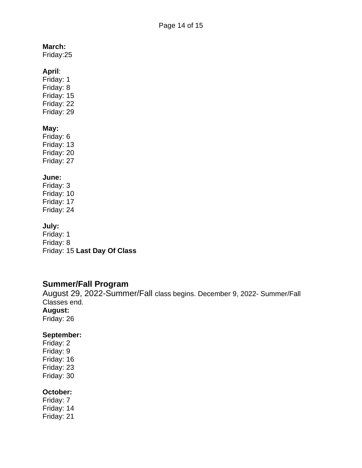#### **March:**

Friday:25

#### **April**:

Friday: 1 Friday: 8 Friday: 15 Friday: 22 Friday: 29

#### **May:**

Friday: 6 Friday: 13 Friday: 20 Friday: 27

#### **June:**

Friday: 3 Friday: 10 Friday: 17 Friday: 24

## **July:**

Friday: 1 Friday: 8 Friday: 15 **Last Day Of Class**

## **Summer/Fall Program**

August 29, 2022-Summer/Fall class begins. December 9, 2022- Summer/Fall Classes end. **August:** Friday: 26

## **September:**

Friday: 2 Friday: 9 Friday: 16 Friday: 23 Friday: 30

#### **October:**

Friday: 7 Friday: 14 Friday: 21